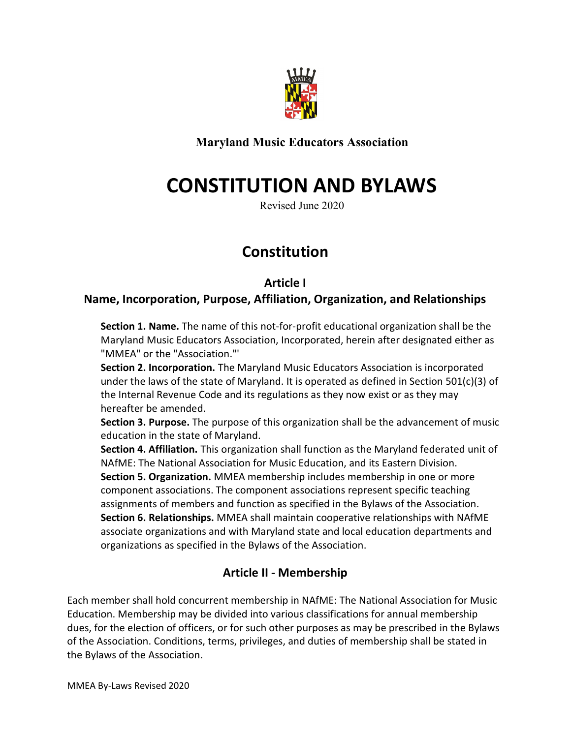

Maryland Music Educators Association

# CONSTITUTION AND BYLAWS

Revised June 2020

## Constitution

#### Article I

#### Name, Incorporation, Purpose, Affiliation, Organization, and Relationships

Section 1. Name. The name of this not-for-profit educational organization shall be the Maryland Music Educators Association, Incorporated, herein after designated either as "MMEA" or the "Association."'

Section 2. Incorporation. The Maryland Music Educators Association is incorporated under the laws of the state of Maryland. It is operated as defined in Section 501(c)(3) of the Internal Revenue Code and its regulations as they now exist or as they may hereafter be amended.

**Section 3. Purpose.** The purpose of this organization shall be the advancement of music education in the state of Maryland.

Section 4. Affiliation. This organization shall function as the Maryland federated unit of NAfME: The National Association for Music Education, and its Eastern Division. Section 5. Organization. MMEA membership includes membership in one or more component associations. The component associations represent specific teaching assignments of members and function as specified in the Bylaws of the Association. Section 6. Relationships. MMEA shall maintain cooperative relationships with NAfME associate organizations and with Maryland state and local education departments and organizations as specified in the Bylaws of the Association.

#### Article II - Membership

Each member shall hold concurrent membership in NAfME: The National Association for Music Education. Membership may be divided into various classifications for annual membership dues, for the election of officers, or for such other purposes as may be prescribed in the Bylaws of the Association. Conditions, terms, privileges, and duties of membership shall be stated in the Bylaws of the Association.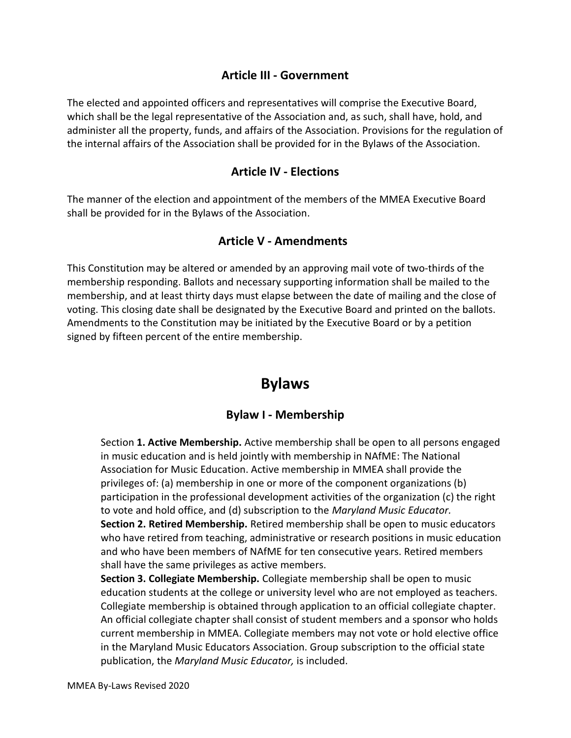#### Article III - Government

The elected and appointed officers and representatives will comprise the Executive Board, which shall be the legal representative of the Association and, as such, shall have, hold, and administer all the property, funds, and affairs of the Association. Provisions for the regulation of the internal affairs of the Association shall be provided for in the Bylaws of the Association.

#### Article IV - Elections

The manner of the election and appointment of the members of the MMEA Executive Board shall be provided for in the Bylaws of the Association.

#### Article V - Amendments

This Constitution may be altered or amended by an approving mail vote of two-thirds of the membership responding. Ballots and necessary supporting information shall be mailed to the membership, and at least thirty days must elapse between the date of mailing and the close of voting. This closing date shall be designated by the Executive Board and printed on the ballots. Amendments to the Constitution may be initiated by the Executive Board or by a petition signed by fifteen percent of the entire membership.

### Bylaws

#### Bylaw I - Membership

Section 1. Active Membership. Active membership shall be open to all persons engaged in music education and is held jointly with membership in NAfME: The National Association for Music Education. Active membership in MMEA shall provide the privileges of: (a) membership in one or more of the component organizations (b) participation in the professional development activities of the organization (c) the right to vote and hold office, and (d) subscription to the *Maryland Music Educator*. Section 2. Retired Membership. Retired membership shall be open to music educators who have retired from teaching, administrative or research positions in music education and who have been members of NAfME for ten consecutive years. Retired members shall have the same privileges as active members.

Section 3. Collegiate Membership. Collegiate membership shall be open to music education students at the college or university level who are not employed as teachers. Collegiate membership is obtained through application to an official collegiate chapter. An official collegiate chapter shall consist of student members and a sponsor who holds current membership in MMEA. Collegiate members may not vote or hold elective office in the Maryland Music Educators Association. Group subscription to the official state publication, the Maryland Music Educator, is included.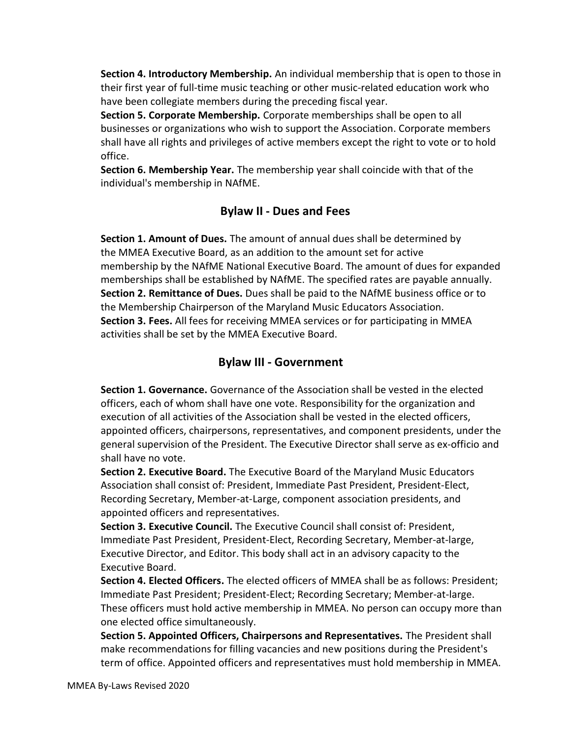Section 4. Introductory Membership. An individual membership that is open to those in their first year of full-time music teaching or other music-related education work who have been collegiate members during the preceding fiscal year.

Section 5. Corporate Membership. Corporate memberships shall be open to all businesses or organizations who wish to support the Association. Corporate members shall have all rights and privileges of active members except the right to vote or to hold office.

Section 6. Membership Year. The membership year shall coincide with that of the individual's membership in NAfME.

#### Bylaw II - Dues and Fees

Section 1. Amount of Dues. The amount of annual dues shall be determined by the MMEA Executive Board, as an addition to the amount set for active membership by the NAfME National Executive Board. The amount of dues for expanded memberships shall be established by NAfME. The specified rates are payable annually. Section 2. Remittance of Dues. Dues shall be paid to the NAfME business office or to the Membership Chairperson of the Maryland Music Educators Association. Section 3. Fees. All fees for receiving MMEA services or for participating in MMEA activities shall be set by the MMEA Executive Board.

#### Bylaw III - Government

Section 1. Governance. Governance of the Association shall be vested in the elected officers, each of whom shall have one vote. Responsibility for the organization and execution of all activities of the Association shall be vested in the elected officers, appointed officers, chairpersons, representatives, and component presidents, under the general supervision of the President. The Executive Director shall serve as ex-officio and shall have no vote.

Section 2. Executive Board. The Executive Board of the Maryland Music Educators Association shall consist of: President, Immediate Past President, President-Elect, Recording Secretary, Member-at-Large, component association presidents, and appointed officers and representatives.

Section 3. Executive Council. The Executive Council shall consist of: President, Immediate Past President, President-Elect, Recording Secretary, Member-at-large, Executive Director, and Editor. This body shall act in an advisory capacity to the Executive Board.

Section 4. Elected Officers. The elected officers of MMEA shall be as follows: President; Immediate Past President; President-Elect; Recording Secretary; Member-at-large. These officers must hold active membership in MMEA. No person can occupy more than one elected office simultaneously.

Section 5. Appointed Officers, Chairpersons and Representatives. The President shall make recommendations for filling vacancies and new positions during the President's term of office. Appointed officers and representatives must hold membership in MMEA.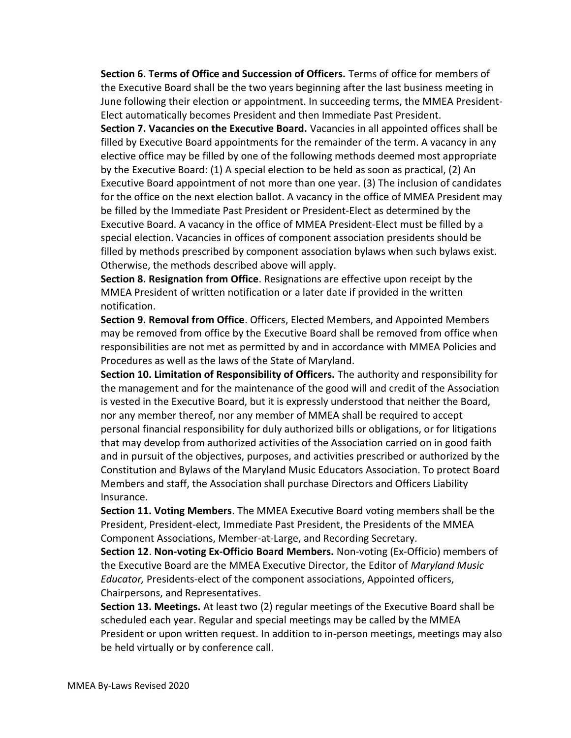Section 6. Terms of Office and Succession of Officers. Terms of office for members of the Executive Board shall be the two years beginning after the last business meeting in June following their election or appointment. In succeeding terms, the MMEA President-Elect automatically becomes President and then Immediate Past President.

Section 7. Vacancies on the Executive Board. Vacancies in all appointed offices shall be filled by Executive Board appointments for the remainder of the term. A vacancy in any elective office may be filled by one of the following methods deemed most appropriate by the Executive Board: (1) A special election to be held as soon as practical, (2) An Executive Board appointment of not more than one year. (3) The inclusion of candidates for the office on the next election ballot. A vacancy in the office of MMEA President may be filled by the Immediate Past President or President-Elect as determined by the Executive Board. A vacancy in the office of MMEA President-Elect must be filled by a special election. Vacancies in offices of component association presidents should be filled by methods prescribed by component association bylaws when such bylaws exist. Otherwise, the methods described above will apply.

Section 8. Resignation from Office. Resignations are effective upon receipt by the MMEA President of written notification or a later date if provided in the written notification.

Section 9. Removal from Office. Officers, Elected Members, and Appointed Members may be removed from office by the Executive Board shall be removed from office when responsibilities are not met as permitted by and in accordance with MMEA Policies and Procedures as well as the laws of the State of Maryland.

Section 10. Limitation of Responsibility of Officers. The authority and responsibility for the management and for the maintenance of the good will and credit of the Association is vested in the Executive Board, but it is expressly understood that neither the Board, nor any member thereof, nor any member of MMEA shall be required to accept personal financial responsibility for duly authorized bills or obligations, or for litigations that may develop from authorized activities of the Association carried on in good faith and in pursuit of the objectives, purposes, and activities prescribed or authorized by the Constitution and Bylaws of the Maryland Music Educators Association. To protect Board Members and staff, the Association shall purchase Directors and Officers Liability Insurance.

Section 11. Voting Members. The MMEA Executive Board voting members shall be the President, President-elect, Immediate Past President, the Presidents of the MMEA Component Associations, Member-at-Large, and Recording Secretary.

Section 12. Non-voting Ex-Officio Board Members. Non-voting (Ex-Officio) members of the Executive Board are the MMEA Executive Director, the Editor of Maryland Music Educator, Presidents-elect of the component associations, Appointed officers, Chairpersons, and Representatives.

Section 13. Meetings. At least two (2) regular meetings of the Executive Board shall be scheduled each year. Regular and special meetings may be called by the MMEA President or upon written request. In addition to in-person meetings, meetings may also be held virtually or by conference call.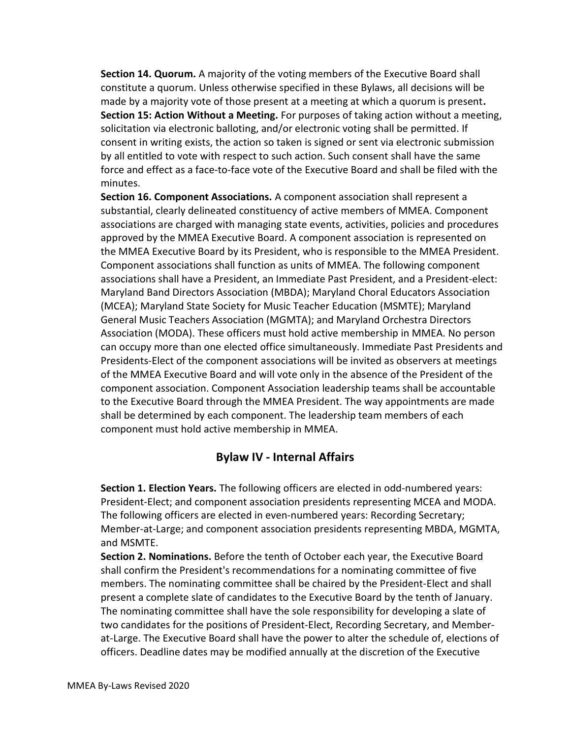Section 14. Quorum. A majority of the voting members of the Executive Board shall constitute a quorum. Unless otherwise specified in these Bylaws, all decisions will be made by a majority vote of those present at a meeting at which a quorum is present. Section 15: Action Without a Meeting. For purposes of taking action without a meeting, solicitation via electronic balloting, and/or electronic voting shall be permitted. If consent in writing exists, the action so taken is signed or sent via electronic submission by all entitled to vote with respect to such action. Such consent shall have the same force and effect as a face-to-face vote of the Executive Board and shall be filed with the minutes.

Section 16. Component Associations. A component association shall represent a substantial, clearly delineated constituency of active members of MMEA. Component associations are charged with managing state events, activities, policies and procedures approved by the MMEA Executive Board. A component association is represented on the MMEA Executive Board by its President, who is responsible to the MMEA President. Component associations shall function as units of MMEA. The following component associations shall have a President, an Immediate Past President, and a President-elect: Maryland Band Directors Association (MBDA); Maryland Choral Educators Association (MCEA); Maryland State Society for Music Teacher Education (MSMTE); Maryland General Music Teachers Association (MGMTA); and Maryland Orchestra Directors Association (MODA). These officers must hold active membership in MMEA. No person can occupy more than one elected office simultaneously. Immediate Past Presidents and Presidents-Elect of the component associations will be invited as observers at meetings of the MMEA Executive Board and will vote only in the absence of the President of the component association. Component Association leadership teams shall be accountable to the Executive Board through the MMEA President. The way appointments are made shall be determined by each component. The leadership team members of each component must hold active membership in MMEA.

#### Bylaw IV - Internal Affairs

Section 1. Election Years. The following officers are elected in odd-numbered years: President-Elect; and component association presidents representing MCEA and MODA. The following officers are elected in even-numbered years: Recording Secretary; Member-at-Large; and component association presidents representing MBDA, MGMTA, and MSMTE.

Section 2. Nominations. Before the tenth of October each year, the Executive Board shall confirm the President's recommendations for a nominating committee of five members. The nominating committee shall be chaired by the President-Elect and shall present a complete slate of candidates to the Executive Board by the tenth of January. The nominating committee shall have the sole responsibility for developing a slate of two candidates for the positions of President-Elect, Recording Secretary, and Memberat-Large. The Executive Board shall have the power to alter the schedule of, elections of officers. Deadline dates may be modified annually at the discretion of the Executive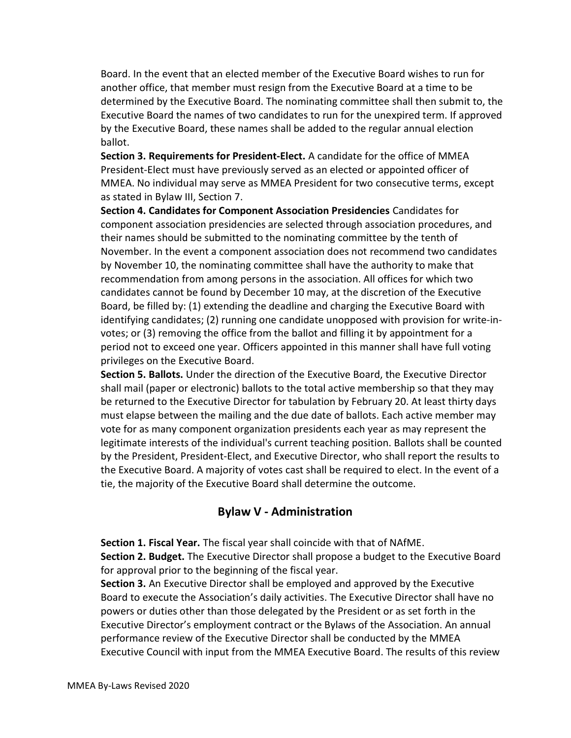Board. In the event that an elected member of the Executive Board wishes to run for another office, that member must resign from the Executive Board at a time to be determined by the Executive Board. The nominating committee shall then submit to, the Executive Board the names of two candidates to run for the unexpired term. If approved by the Executive Board, these names shall be added to the regular annual election ballot.

Section 3. Requirements for President-Elect. A candidate for the office of MMEA President-Elect must have previously served as an elected or appointed officer of MMEA. No individual may serve as MMEA President for two consecutive terms, except as stated in Bylaw III, Section 7.

Section 4. Candidates for Component Association Presidencies Candidates for component association presidencies are selected through association procedures, and their names should be submitted to the nominating committee by the tenth of November. In the event a component association does not recommend two candidates by November 10, the nominating committee shall have the authority to make that recommendation from among persons in the association. All offices for which two candidates cannot be found by December 10 may, at the discretion of the Executive Board, be filled by: (1) extending the deadline and charging the Executive Board with identifying candidates; (2) running one candidate unopposed with provision for write-invotes; or (3) removing the office from the ballot and filling it by appointment for a period not to exceed one year. Officers appointed in this manner shall have full voting privileges on the Executive Board.

Section 5. Ballots. Under the direction of the Executive Board, the Executive Director shall mail (paper or electronic) ballots to the total active membership so that they may be returned to the Executive Director for tabulation by February 20. At least thirty days must elapse between the mailing and the due date of ballots. Each active member may vote for as many component organization presidents each year as may represent the legitimate interests of the individual's current teaching position. Ballots shall be counted by the President, President-Elect, and Executive Director, who shall report the results to the Executive Board. A majority of votes cast shall be required to elect. In the event of a tie, the majority of the Executive Board shall determine the outcome.

#### Bylaw V - Administration

Section 1. Fiscal Year. The fiscal year shall coincide with that of NAfME. Section 2. Budget. The Executive Director shall propose a budget to the Executive Board for approval prior to the beginning of the fiscal year.

Section 3. An Executive Director shall be employed and approved by the Executive Board to execute the Association's daily activities. The Executive Director shall have no powers or duties other than those delegated by the President or as set forth in the Executive Director's employment contract or the Bylaws of the Association. An annual performance review of the Executive Director shall be conducted by the MMEA Executive Council with input from the MMEA Executive Board. The results of this review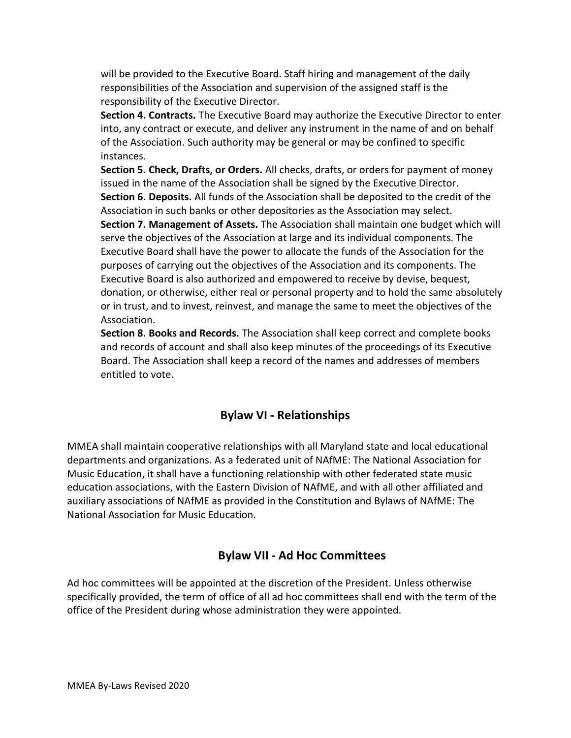will be provided to the Executive Board. Staff hiring and management of the daily responsibilities of the Association and supervision of the assigned staff is the responsibility of the Executive Director.

Section 4. Contracts. The Executive Board may authorize the Executive Director to enter into, any contract or execute, and deliver any instrument in the name of and on behalf of the Association. Such authority may be general or may be confined to specific instances.

Section 5. Check, Drafts, or Orders. All checks, drafts, or orders for payment of money issued in the name of the Association shall be signed by the Executive Director. Section 6. Deposits. All funds of the Association shall be deposited to the credit of the Association in such banks or other depositories as the Association may select. Section 7. Management of Assets. The Association shall maintain one budget which will serve the objectives of the Association at large and its individual components. The

Executive Board shall have the power to allocate the funds of the Association for the purposes of carrying out the objectives of the Association and its components. The Executive Board is also authorized and empowered to receive by devise, bequest, donation, or otherwise, either real or personal property and to hold the same absolutely or in trust, and to invest, reinvest, and manage the same to meet the objectives of the Association.

Section 8. Books and Records. The Association shall keep correct and complete books and records of account and shall also keep minutes of the proceedings of its Executive Board. The Association shall keep a record of the names and addresses of members entitled to vote.

#### Bylaw VI - Relationships

MMEA shall maintain cooperative relationships with all Maryland state and local educational departments and organizations. As a federated unit of NAfME: The National Association for Music Education, it shall have a functioning relationship with other federated state music education associations, with the Eastern Division of NAfME, and with all other affiliated and auxiliary associations of NAfME as provided in the Constitution and Bylaws of NAfME: The National Association for Music Education.

#### Bylaw VII - Ad Hoc Committees

Ad hoc committees will be appointed at the discretion of the President. Unless otherwise specifically provided, the term of office of all ad hoc committees shall end with the term of the office of the President during whose administration they were appointed.